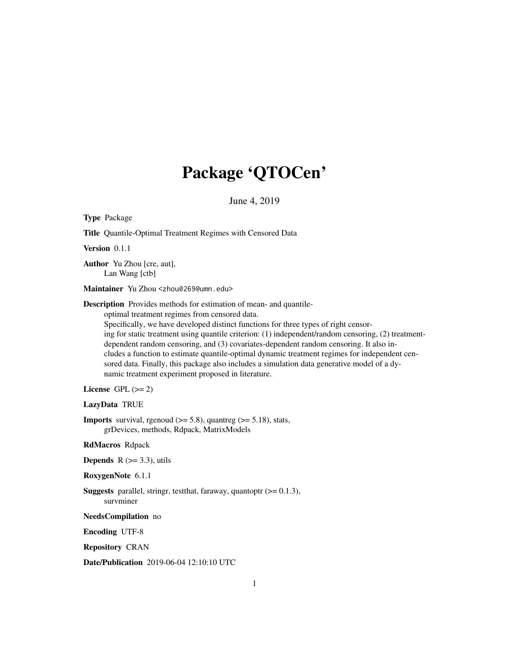# Package 'QTOCen'

June 4, 2019

| Type Package                                                                                                                                                                                                                                                                                                                                                                                                                                                                                                                                                                                                                                                             |
|--------------------------------------------------------------------------------------------------------------------------------------------------------------------------------------------------------------------------------------------------------------------------------------------------------------------------------------------------------------------------------------------------------------------------------------------------------------------------------------------------------------------------------------------------------------------------------------------------------------------------------------------------------------------------|
| Title Quantile-Optimal Treatment Regimes with Censored Data                                                                                                                                                                                                                                                                                                                                                                                                                                                                                                                                                                                                              |
| Version 0.1.1                                                                                                                                                                                                                                                                                                                                                                                                                                                                                                                                                                                                                                                            |
| Author Yu Zhou [cre, aut],<br>Lan Wang [ctb]                                                                                                                                                                                                                                                                                                                                                                                                                                                                                                                                                                                                                             |
| Maintainer Yu Zhou <zhou0269@umn.edu></zhou0269@umn.edu>                                                                                                                                                                                                                                                                                                                                                                                                                                                                                                                                                                                                                 |
| <b>Description</b> Provides methods for estimation of mean- and quantile-<br>optimal treatment regimes from censored data.<br>Specifically, we have developed distinct functions for three types of right censor-<br>ing for static treatment using quantile criterion: (1) independent/random censoring, (2) treatment-<br>dependent random censoring, and (3) covariates-dependent random censoring. It also in-<br>cludes a function to estimate quantile-optimal dynamic treatment regimes for independent cen-<br>sored data. Finally, this package also includes a simulation data generative model of a dy-<br>namic treatment experiment proposed in literature. |
| License GPL $(>= 2)$                                                                                                                                                                                                                                                                                                                                                                                                                                                                                                                                                                                                                                                     |
| LazyData TRUE                                                                                                                                                                                                                                                                                                                                                                                                                                                                                                                                                                                                                                                            |
| <b>Imports</b> survival, rgenoud $(>= 5.8)$ , quantreg $(>= 5.18)$ , stats,<br>grDevices, methods, Rdpack, MatrixModels                                                                                                                                                                                                                                                                                                                                                                                                                                                                                                                                                  |
| <b>RdMacros</b> Rdpack                                                                                                                                                                                                                                                                                                                                                                                                                                                                                                                                                                                                                                                   |
| <b>Depends</b> $R$ ( $>=$ 3.3), utils                                                                                                                                                                                                                                                                                                                                                                                                                                                                                                                                                                                                                                    |
| RoxygenNote 6.1.1                                                                                                                                                                                                                                                                                                                                                                                                                                                                                                                                                                                                                                                        |
| <b>Suggests</b> parallel, stringr, test that, faraway, quantoptr $(>= 0.1.3)$ ,<br>survminer                                                                                                                                                                                                                                                                                                                                                                                                                                                                                                                                                                             |
| NeedsCompilation no                                                                                                                                                                                                                                                                                                                                                                                                                                                                                                                                                                                                                                                      |
| <b>Encoding UTF-8</b>                                                                                                                                                                                                                                                                                                                                                                                                                                                                                                                                                                                                                                                    |
| <b>Repository CRAN</b>                                                                                                                                                                                                                                                                                                                                                                                                                                                                                                                                                                                                                                                   |
| Date/Publication 2019-06-04 12:10:10 UTC                                                                                                                                                                                                                                                                                                                                                                                                                                                                                                                                                                                                                                 |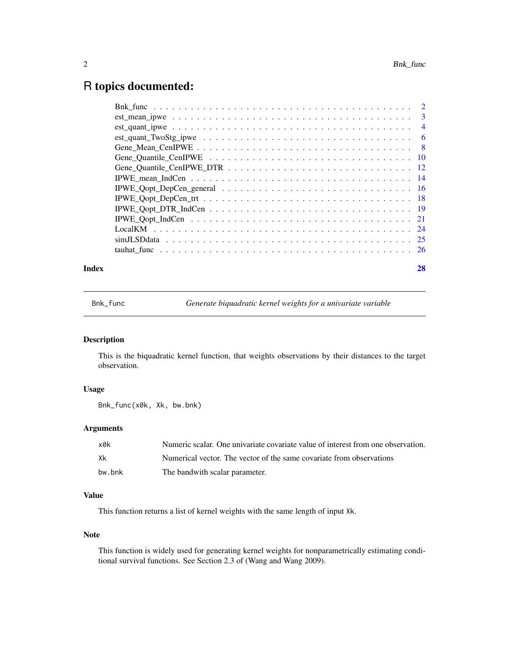# <span id="page-1-0"></span>R topics documented:

#### **Index** [28](#page-27-0) **28**

Bnk\_func *Generate biquadratic kernel weights for a univariate variable*

# Description

This is the biquadratic kernel function, that weights observations by their distances to the target observation.

# Usage

Bnk\_func(x0k, Xk, bw.bnk)

# Arguments

| x0k    | Numeric scalar. One univariate covariate value of interest from one observation. |
|--------|----------------------------------------------------------------------------------|
| Xk     | Numerical vector. The vector of the same covariate from observations             |
| bw.bnk | The bandwith scalar parameter.                                                   |

# Value

This function returns a list of kernel weights with the same length of input Xk.

# Note

This function is widely used for generating kernel weights for nonparametrically estimating conditional survival functions. See Section 2.3 of (Wang and Wang 2009).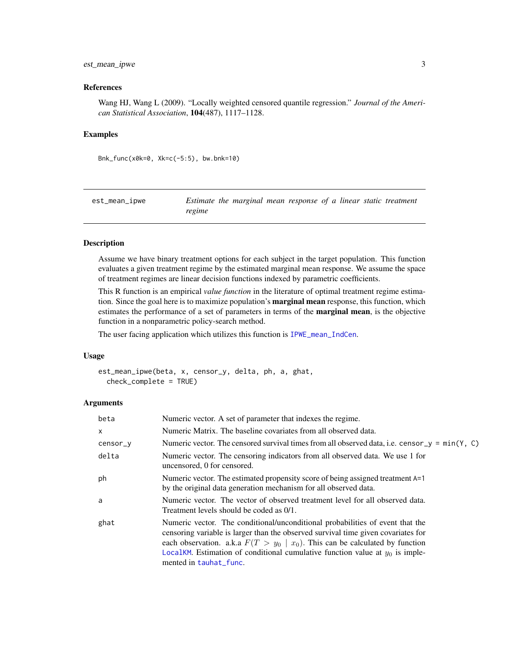# <span id="page-2-0"></span>est\_mean\_ipwe 3

#### References

Wang HJ, Wang L (2009). "Locally weighted censored quantile regression." *Journal of the American Statistical Association*, 104(487), 1117–1128.

#### Examples

Bnk\_func(x0k=0, Xk=c(-5:5), bw.bnk=10)

est\_mean\_ipwe *Estimate the marginal mean response of a linear static treatment regime*

### Description

Assume we have binary treatment options for each subject in the target population. This function evaluates a given treatment regime by the estimated marginal mean response. We assume the space of treatment regimes are linear decision functions indexed by parametric coefficients.

This R function is an empirical *value function* in the literature of optimal treatment regime estimation. Since the goal here is to maximize population's marginal mean response, this function, which estimates the performance of a set of parameters in terms of the **marginal mean**, is the objective function in a nonparametric policy-search method.

The user facing application which utilizes this function is [IPWE\\_mean\\_IndCen](#page-13-1).

# Usage

```
est_mean_ipwe(beta, x, censor_y, delta, ph, a, ghat,
  check_complete = TRUE)
```
#### Arguments

| beta     | Numeric vector. A set of parameter that indexes the regime.                                                                                                                                                                                                                                                                                                        |
|----------|--------------------------------------------------------------------------------------------------------------------------------------------------------------------------------------------------------------------------------------------------------------------------------------------------------------------------------------------------------------------|
| X        | Numeric Matrix. The baseline covariates from all observed data.                                                                                                                                                                                                                                                                                                    |
| censor_y | Numeric vector. The censored survival times from all observed data, i.e. censor $y = min(Y, C)$                                                                                                                                                                                                                                                                    |
| delta    | Numeric vector. The censoring indicators from all observed data. We use 1 for<br>uncensored, 0 for censored.                                                                                                                                                                                                                                                       |
| ph       | Numeric vector. The estimated propensity score of being assigned treatment A=1<br>by the original data generation mechanism for all observed data.                                                                                                                                                                                                                 |
| a        | Numeric vector. The vector of observed treatment level for all observed data.<br>Treatment levels should be coded as 0/1.                                                                                                                                                                                                                                          |
| ghat     | Numeric vector. The conditional/unconditional probabilities of event that the<br>censoring variable is larger than the observed survival time given covariates for<br>each observation. a.k.a $F(T > y_0   x_0)$ . This can be calculated by function<br>LocalKM. Estimation of conditional cumulative function value at $y_0$ is imple-<br>mented in tauhat_func. |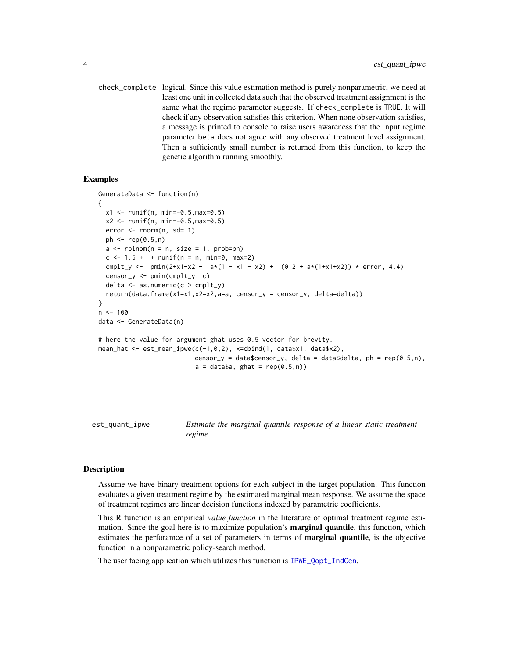<span id="page-3-0"></span>check\_complete logical. Since this value estimation method is purely nonparametric, we need at least one unit in collected data such that the observed treatment assignment is the same what the regime parameter suggests. If check\_complete is TRUE. It will check if any observation satisfies this criterion. When none observation satisfies, a message is printed to console to raise users awareness that the input regime parameter beta does not agree with any observed treatment level assignment. Then a sufficiently small number is returned from this function, to keep the genetic algorithm running smoothly.

# Examples

```
GenerateData <- function(n)
{
 x1 \le runif(n, min=-0.5, max=0.5)
 x2 \le runif(n, min=-0.5, max=0.5)
 error < -rnorm(n, sd= 1)ph \leq rep(0.5, n)a \leq -rbinom(n = n, size = 1, prob=ph)c \le -1.5 + + runif(n = n, min=0, max=2)cmplt_y <- pmin(2+x1+x2 + a*(1 - x1 - x2) + (0.2 + a*(1+x1+x2)) * error, 4.4)
 censor_y <- pmin(cmplt_y, c)
 delta \leq as.numeric(c > cmplt_y)
 return(data.frame(x1=x1,x2=x2,a=a, censor_y = censor_y, delta=delta))
}
n < -100data <- GenerateData(n)
# here the value for argument ghat uses 0.5 vector for brevity.
mean_hat \leq est_mean_ipwe(c(-1,0,2), x=cbind(1, data$x1, data$x2),
                          censor_y = data$censor_y, delta = data$delta, ph = rep(0.5, n),
                          a = data$a, ghat = rep(0.5,n))
```
est\_quant\_ipwe *Estimate the marginal quantile response of a linear static treatment regime*

#### **Description**

Assume we have binary treatment options for each subject in the target population. This function evaluates a given treatment regime by the estimated marginal mean response. We assume the space of treatment regimes are linear decision functions indexed by parametric coefficients.

This R function is an empirical *value function* in the literature of optimal treatment regime estimation. Since the goal here is to maximize population's **marginal quantile**, this function, which estimates the perforamce of a set of parameters in terms of **marginal quantile**, is the objective function in a nonparametric policy-search method.

The user facing application which utilizes this function is [IPWE\\_Qopt\\_IndCen](#page-20-1).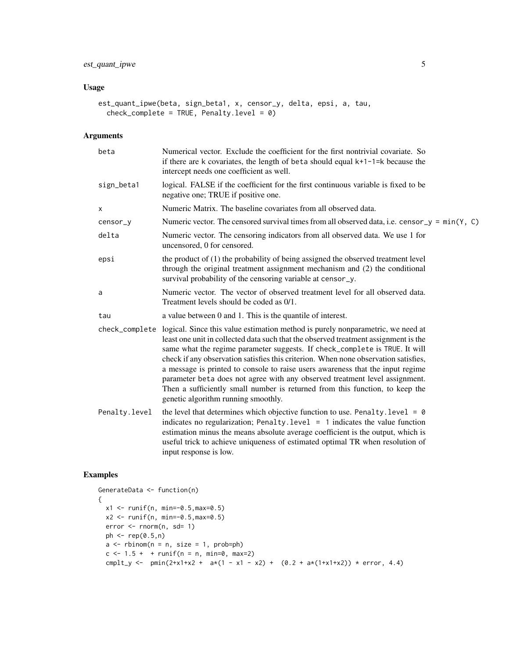# est\_quant\_ipwe 5

# Usage

```
est_quant_ipwe(beta, sign_beta1, x, censor_y, delta, epsi, a, tau,
 check_complete = TRUE, Penalty.level = 0)
```
# Arguments

| beta          | Numerical vector. Exclude the coefficient for the first nontrivial covariate. So<br>if there are k covariates, the length of beta should equal $k+1-1=k$ because the<br>intercept needs one coefficient as well.                                                                                                                                                                                                                                                                                                                                                                                                                                    |
|---------------|-----------------------------------------------------------------------------------------------------------------------------------------------------------------------------------------------------------------------------------------------------------------------------------------------------------------------------------------------------------------------------------------------------------------------------------------------------------------------------------------------------------------------------------------------------------------------------------------------------------------------------------------------------|
| sign_beta1    | logical. FALSE if the coefficient for the first continuous variable is fixed to be<br>negative one; TRUE if positive one.                                                                                                                                                                                                                                                                                                                                                                                                                                                                                                                           |
| X             | Numeric Matrix. The baseline covariates from all observed data.                                                                                                                                                                                                                                                                                                                                                                                                                                                                                                                                                                                     |
| censor_y      | Numeric vector. The censored survival times from all observed data, i.e. censor_y = $min(Y, C)$                                                                                                                                                                                                                                                                                                                                                                                                                                                                                                                                                     |
| delta         | Numeric vector. The censoring indicators from all observed data. We use 1 for<br>uncensored, 0 for censored.                                                                                                                                                                                                                                                                                                                                                                                                                                                                                                                                        |
| epsi          | the product of (1) the probability of being assigned the observed treatment level<br>through the original treatment assignment mechanism and (2) the conditional<br>survival probability of the censoring variable at censor_y.                                                                                                                                                                                                                                                                                                                                                                                                                     |
| a             | Numeric vector. The vector of observed treatment level for all observed data.<br>Treatment levels should be coded as 0/1.                                                                                                                                                                                                                                                                                                                                                                                                                                                                                                                           |
| tau           | a value between 0 and 1. This is the quantile of interest.                                                                                                                                                                                                                                                                                                                                                                                                                                                                                                                                                                                          |
|               | check_complete logical. Since this value estimation method is purely nonparametric, we need at<br>least one unit in collected data such that the observed treatment assignment is the<br>same what the regime parameter suggests. If check_complete is TRUE. It will<br>check if any observation satisfies this criterion. When none observation satisfies,<br>a message is printed to console to raise users awareness that the input regime<br>parameter beta does not agree with any observed treatment level assignment.<br>Then a sufficiently small number is returned from this function, to keep the<br>genetic algorithm running smoothly. |
| Penalty.level | the level that determines which objective function to use. Penalty. level = $\theta$<br>indicates no regularization; Penalty.level = $1$ indicates the value function<br>estimation minus the means absolute average coefficient is the output, which is<br>useful trick to achieve uniqueness of estimated optimal TR when resolution of<br>input response is low.                                                                                                                                                                                                                                                                                 |

```
GenerateData <- function(n)
{
 x1 \le runif(n, min=-0.5, max=0.5)
 x2 \le runif(n, min=-0.5, max=0.5)
  error <- rnorm(n, sd= 1)
  ph <- rep(0.5,n)
  a \leq -rbinom(n = n, size = 1, prob=ph)c \le -1.5 + + runif(n = n, min=0, max=2)cmplt_y <- pmin(2+x1+x2 + ax(1 - x1 - x2) + (0.2 + ax(1+x1+x2)) + error, 4.4)
```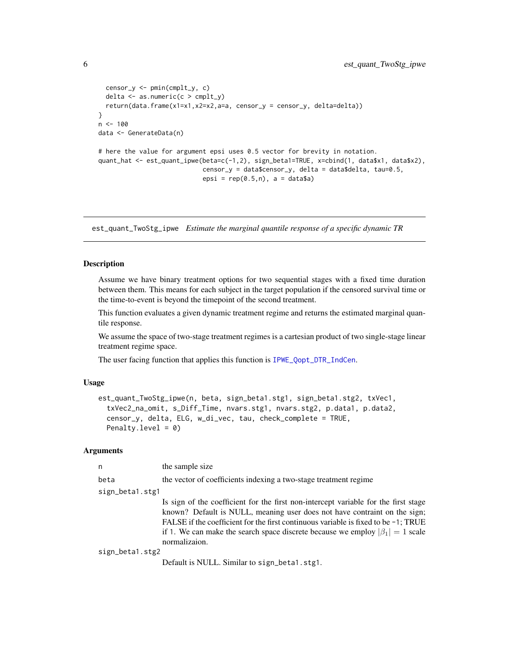```
censor_y <- pmin(cmplt_y, c)
  delta <- as.numeric(c > cmplt_y)
  return(data.frame(x1=x1,x2=x2,a=a, censor_y = censor_y, delta=delta))
}
n < - 100data <- GenerateData(n)
# here the value for argument epsi uses 0.5 vector for brevity in notation.
quant_hat <- est_quant_ipwe(beta=c(-1,2), sign_beta1=TRUE, x=cbind(1, data$x1, data$x2),
                            censor_y = data$censor_y, delta = data$delta, tau=0.5,
                            epsi = rep(0.5, n), a = data$a)
```
est\_quant\_TwoStg\_ipwe *Estimate the marginal quantile response of a specific dynamic TR*

### Description

Assume we have binary treatment options for two sequential stages with a fixed time duration between them. This means for each subject in the target population if the censored survival time or the time-to-event is beyond the timepoint of the second treatment.

This function evaluates a given dynamic treatment regime and returns the estimated marginal quantile response.

We assume the space of two-stage treatment regimes is a cartesian product of two single-stage linear treatment regime space.

The user facing function that applies this function is [IPWE\\_Qopt\\_DTR\\_IndCen](#page-18-1).

### Usage

```
est_quant_TwoStg_ipwe(n, beta, sign_beta1.stg1, sign_beta1.stg2, txVec1,
  txVec2_na_omit, s_Diff_Time, nvars.stg1, nvars.stg2, p.data1, p.data2,
  censor_y, delta, ELG, w_di_vec, tau, check_complete = TRUE,
 Penalty.level = 0)
```
# **Arguments**

| n               | the sample size                                                                       |
|-----------------|---------------------------------------------------------------------------------------|
| beta            | the vector of coefficients indexing a two-stage treatment regime                      |
| sign_betal.stg1 |                                                                                       |
|                 | Is sign of the coefficient for the first non-intercept variable for the first stage   |
|                 | known? Default is NULL, meaning user does not have contraint on the sign;             |
|                 | FALSE if the coefficient for the first continuous variable is fixed to be $-1$ ; TRUE |
|                 | if 1. We can make the search space discrete because we employ $ \beta_1  = 1$ scale   |
|                 | normalizaion.                                                                         |
| sign_beta1.stg2 |                                                                                       |

Default is NULL. Similar to sign\_beta1.stg1.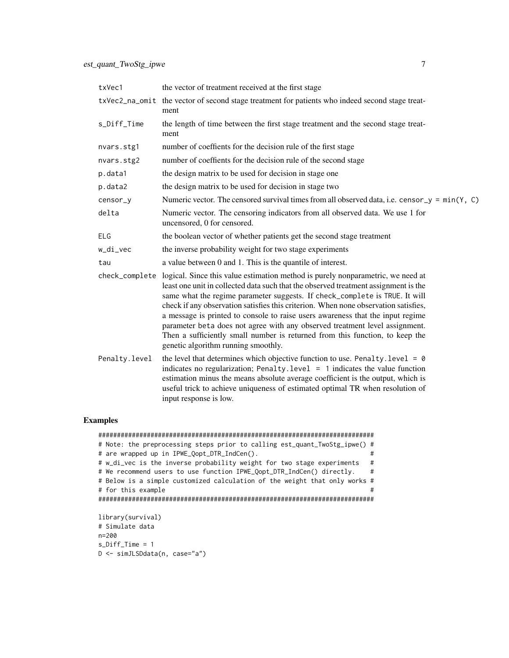| txVec1        | the vector of treatment received at the first stage                                                                                                                                                                                                                                                                                                                                                                                                                                                                                                                                                                                                 |
|---------------|-----------------------------------------------------------------------------------------------------------------------------------------------------------------------------------------------------------------------------------------------------------------------------------------------------------------------------------------------------------------------------------------------------------------------------------------------------------------------------------------------------------------------------------------------------------------------------------------------------------------------------------------------------|
|               | txVec2_na_omit the vector of second stage treatment for patients who indeed second stage treat-<br>ment                                                                                                                                                                                                                                                                                                                                                                                                                                                                                                                                             |
| s_Diff_Time   | the length of time between the first stage treatment and the second stage treat-<br>ment                                                                                                                                                                                                                                                                                                                                                                                                                                                                                                                                                            |
| nvars.stg1    | number of coeffients for the decision rule of the first stage                                                                                                                                                                                                                                                                                                                                                                                                                                                                                                                                                                                       |
| nvars.stg2    | number of coeffients for the decision rule of the second stage                                                                                                                                                                                                                                                                                                                                                                                                                                                                                                                                                                                      |
| p.data1       | the design matrix to be used for decision in stage one                                                                                                                                                                                                                                                                                                                                                                                                                                                                                                                                                                                              |
| p.data2       | the design matrix to be used for decision in stage two                                                                                                                                                                                                                                                                                                                                                                                                                                                                                                                                                                                              |
| censor_y      | Numeric vector. The censored survival times from all observed data, i.e. censor $y = min(Y, C)$                                                                                                                                                                                                                                                                                                                                                                                                                                                                                                                                                     |
| delta         | Numeric vector. The censoring indicators from all observed data. We use 1 for<br>uncensored, 0 for censored.                                                                                                                                                                                                                                                                                                                                                                                                                                                                                                                                        |
| ELG           | the boolean vector of whether patients get the second stage treatment                                                                                                                                                                                                                                                                                                                                                                                                                                                                                                                                                                               |
| w_di_vec      | the inverse probability weight for two stage experiments                                                                                                                                                                                                                                                                                                                                                                                                                                                                                                                                                                                            |
| tau           | a value between 0 and 1. This is the quantile of interest.                                                                                                                                                                                                                                                                                                                                                                                                                                                                                                                                                                                          |
|               | check_complete logical. Since this value estimation method is purely nonparametric, we need at<br>least one unit in collected data such that the observed treatment assignment is the<br>same what the regime parameter suggests. If check_complete is TRUE. It will<br>check if any observation satisfies this criterion. When none observation satisfies,<br>a message is printed to console to raise users awareness that the input regime<br>parameter beta does not agree with any observed treatment level assignment.<br>Then a sufficiently small number is returned from this function, to keep the<br>genetic algorithm running smoothly. |
| Penalty.level | the level that determines which objective function to use. Penalty. level = $\theta$<br>indicates no regularization; Penalty. level $= 1$ indicates the value function<br>estimation minus the means absolute average coefficient is the output, which is<br>useful trick to achieve uniqueness of estimated optimal TR when resolution of<br>input response is low.                                                                                                                                                                                                                                                                                |

```
##########################################################################
# Note: the preprocessing steps prior to calling est_quant_TwoStg_ipwe() #
# are wrapped up in IPWE_Qopt_DTR_IndCen(). #
# w_di_vec is the inverse probability weight for two stage experiments #
# We recommend users to use function IPWE_Qopt_DTR_IndCen() directly. #
# Below is a simple customized calculation of the weight that only works #
# for this example #
##########################################################################
library(survival)
# Simulate data
n=200
```

```
s_Diff_Time = 1
D <- simJLSDdata(n, case="a")
```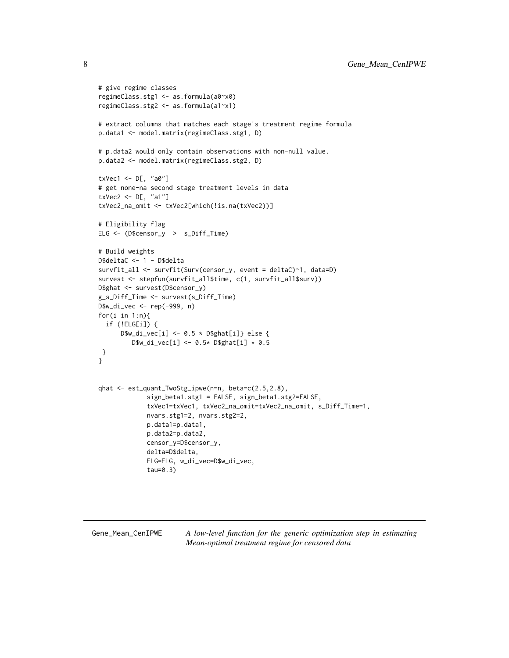```
# give regime classes
regimeClass.stg1 <- as.formula(a0~x0)
regimeClass.stg2 <- as.formula(a1~x1)
# extract columns that matches each stage's treatment regime formula
p.data1 <- model.matrix(regimeClass.stg1, D)
# p.data2 would only contain observations with non-null value.
p.data2 <- model.matrix(regimeClass.stg2, D)
txVec1 <- D[, "a0"]
# get none-na second stage treatment levels in data
txVec2 \leq D[, "a1"]
txVec2_na_omit <- txVec2[which(!is.na(txVec2))]
# Eligibility flag
ELG <- (D$censor_y > s_Diff_Time)
# Build weights
D$deltaC <- 1 - D$delta
survfit_all <- survfit(Surv(censor_y, event = deltaC)~1, data=D)
survest <- stepfun(survfit_all$time, c(1, survfit_all$surv))
D$ghat <- survest(D$censor_y)
g_s_Diff_Time <- survest(s_Diff_Time)
D$w_di_vec <- rep(-999, n)
for(i in 1:n){
  if (!ELG[i]) {
      D$w_di_vec[i] <- 0.5 * D$ghat[i]} else {
         D$w_di_vec[i] <- 0.5* D$ghat[i] * 0.5
 }
}
qhat <- est_quant_TwoStg_ipwe(n=n, beta=c(2.5,2.8),
             sign_beta1.stg1 = FALSE, sign_beta1.stg2=FALSE,
             txVec1=txVec1, txVec2_na_omit=txVec2_na_omit, s_Diff_Time=1,
             nvars.stg1=2, nvars.stg2=2,
             p.data1=p.data1,
             p.data2=p.data2,
             censor_y=D$censor_y,
             delta=D$delta,
             ELG=ELG, w_di_vec=D$w_di_vec,
             tau=0.3)
```
Gene\_Mean\_CenIPWE *A low-level function for the generic optimization step in estimating Mean-optimal treatment regime for censored data*

<span id="page-7-0"></span>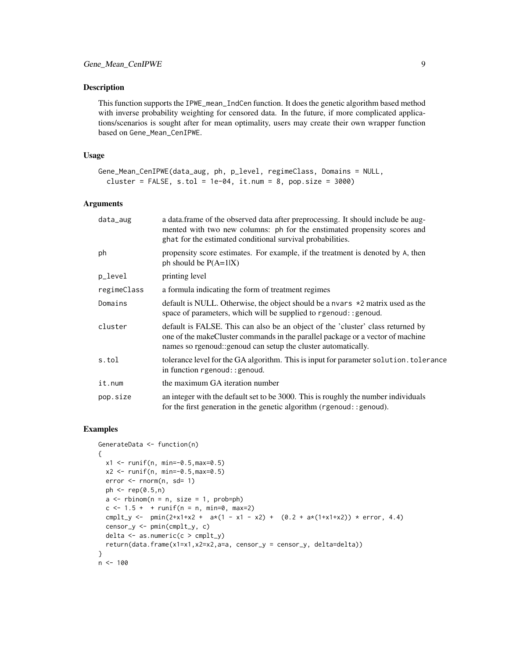#### Description

This function supports the IPWE\_mean\_IndCen function. It does the genetic algorithm based method with inverse probability weighting for censored data. In the future, if more complicated applications/scenarios is sought after for mean optimality, users may create their own wrapper function based on Gene\_Mean\_CenIPWE.

#### Usage

```
Gene_Mean_CenIPWE(data_aug, ph, p_level, regimeClass, Domains = NULL,
  cluster = FALSE, s.tol = 1e-04, it.num = 8, pop.size = 3000)
```
#### Arguments

| data_aug    | a data. frame of the observed data after preprocessing. It should include be aug-<br>mented with two new columns: ph for the enstimated propensity scores and<br>ghat for the estimated conditional survival probabilities.        |
|-------------|------------------------------------------------------------------------------------------------------------------------------------------------------------------------------------------------------------------------------------|
| ph          | propensity score estimates. For example, if the treatment is denoted by A, then<br>ph should be $P(A=1 X)$                                                                                                                         |
| p_level     | printing level                                                                                                                                                                                                                     |
| regimeClass | a formula indicating the form of treatment regimes                                                                                                                                                                                 |
| Domains     | default is NULL. Otherwise, the object should be a nvars $*2$ matrix used as the<br>space of parameters, which will be supplied to rgenoud: : genoud.                                                                              |
| cluster     | default is FALSE. This can also be an object of the 'cluster' class returned by<br>one of the makeCluster commands in the parallel package or a vector of machine<br>names so rgenoud: genoud can setup the cluster automatically. |
| s.tol       | tolerance level for the GA algorithm. This is input for parameter solution, tolerance<br>in function rgenoud: : genoud.                                                                                                            |
| it.num      | the maximum GA iteration number                                                                                                                                                                                                    |
| pop.size    | an integer with the default set to be 3000. This is roughly the number individuals<br>for the first generation in the genetic algorithm (rgenoud::genoud).                                                                         |

```
GenerateData <- function(n)
{
  x1 \le runif(n, min=-0.5, max=0.5)
  x2 \le runif(n, min=-0.5, max=0.5)
  error <- rnorm(n, sd= 1)
  ph < - rep(0.5, n)a \leq r \operatorname{binom}(n = n, \text{ size } = 1, \text{ prob=ph})c \le -1.5 + + \text{runif}(n = n, \text{min=0}, \text{max=2})cmplt_y <- pmin(2+x1+x2 + a*(1 - x1 - x2) + (0.2 + a*(1+x1+x2)) * error, 4.4)
  censor_y <- pmin(cmplt_y, c)
  delta <- as.numeric(c > cmplt_y)
  return(data.frame(x1=x1,x2=x2,a=a, censor_y = censor_y, delta=delta))
}
n <- 100
```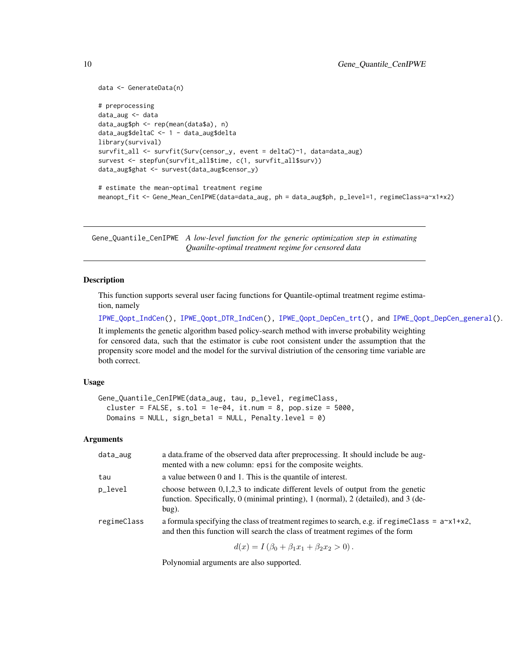```
data <- GenerateData(n)
# preprocessing
data_aug <- data
data_aug$ph <- rep(mean(data$a), n)
data_aug$deltaC <- 1 - data_aug$delta
library(survival)
survfit_all <- survfit(Surv(censor_y, event = deltaC)~1, data=data_aug)
survest <- stepfun(survfit_all$time, c(1, survfit_all$surv))
data_aug$ghat <- survest(data_aug$censor_y)
# estimate the mean-optimal treatment regime
meanopt_fit <- Gene_Mean_CenIPWE(data=data_aug, ph = data_aug$ph, p_level=1, regimeClass=a~x1*x2)
```
Gene\_Quantile\_CenIPWE *A low-level function for the generic optimization step in estimating Quanilte-optimal treatment regime for censored data*

#### **Description**

This function supports several user facing functions for Quantile-optimal treatment regime estimation, namely

[IPWE\\_Qopt\\_IndCen\(](#page-20-1)), [IPWE\\_Qopt\\_DTR\\_IndCen\(](#page-18-1)), [IPWE\\_Qopt\\_DepCen\\_trt\(](#page-17-1)), and [IPWE\\_Qopt\\_DepCen\\_general\(](#page-15-1)). It implements the genetic algorithm based policy-search method with inverse probability weighting for censored data, such that the estimator is cube root consistent under the assumption that the propensity score model and the model for the survival distriution of the censoring time variable are both correct.

### Usage

```
Gene_Quantile_CenIPWE(data_aug, tau, p_level, regimeClass,
  cluster = FALSE, s.tol = 1e-04, it.num = 8, pop.size = 5000,
  Domains = NULL, sign_beta1 = NULL, Penalty.level = 0)
```
#### **Arguments**

| data_aug    | a data frame of the observed data after preprocessing. It should include be aug-<br>mented with a new column: epsi for the composite weights.                                        |
|-------------|--------------------------------------------------------------------------------------------------------------------------------------------------------------------------------------|
| tau         | a value between 0 and 1. This is the quantile of interest.                                                                                                                           |
| p_level     | choose between $0,1,2,3$ to indicate different levels of output from the genetic<br>function. Specifically, 0 (minimal printing), 1 (normal), 2 (detailed), and 3 (de-<br>$bug)$ .   |
| regimeClass | a formula specifying the class of treatment regimes to search, e.g. if regimeClass = $a^{-x}$ 1+x2,<br>and then this function will search the class of treatment regimes of the form |
|             | $d(x) = I(\beta_0 + \beta_1 x_1 + \beta_2 x_2 > 0).$                                                                                                                                 |

Polynomial arguments are also supported.

<span id="page-9-0"></span>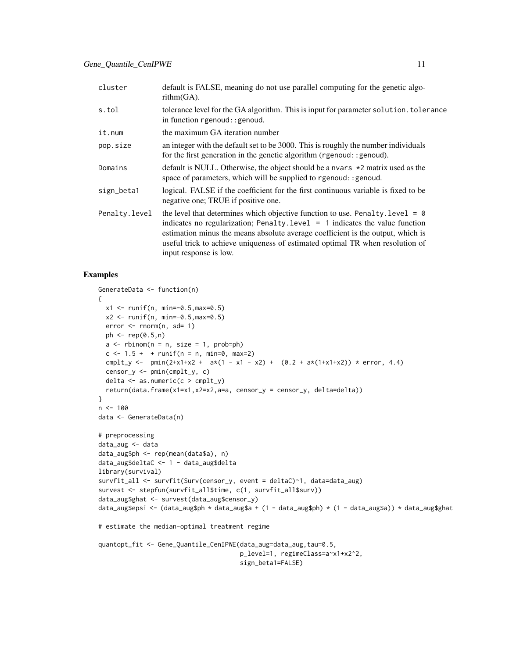| cluster       | default is FALSE, meaning do not use parallel computing for the genetic algo-<br>rithm(GA).                                                                                                                                                                                                                                                                          |
|---------------|----------------------------------------------------------------------------------------------------------------------------------------------------------------------------------------------------------------------------------------------------------------------------------------------------------------------------------------------------------------------|
| s.tol         | tolerance level for the GA algorithm. This is input for parameter solution. tolerance<br>in function rgenoud: : genoud.                                                                                                                                                                                                                                              |
| it.num        | the maximum GA iteration number                                                                                                                                                                                                                                                                                                                                      |
| pop.size      | an integer with the default set to be 3000. This is roughly the number individuals<br>for the first generation in the genetic algorithm (rgenoud:: genoud).                                                                                                                                                                                                          |
| Domains       | default is NULL. Otherwise, the object should be a nvars $\star$ 2 matrix used as the<br>space of parameters, which will be supplied to rgenoud: : genoud.                                                                                                                                                                                                           |
| sign_beta1    | logical. FALSE if the coefficient for the first continuous variable is fixed to be<br>negative one; TRUE if positive one.                                                                                                                                                                                                                                            |
| Penalty.level | the level that determines which objective function to use. Penalty. level = $\theta$<br>indicates no regularization; Penalty. level $= 1$ indicates the value function<br>estimation minus the means absolute average coefficient is the output, which is<br>useful trick to achieve uniqueness of estimated optimal TR when resolution of<br>input response is low. |

```
GenerateData <- function(n)
{
 x1 <- runif(n, min=-0.5,max=0.5)
 x2 \le runif(n, min=-0.5, max=0.5)
  error < -rnorm(n, sd= 1)ph \leq rep(0.5,n)
  a \leq -rbinom(n = n, size = 1, prob=ph)c \le -1.5 + + runif(n = n, min=0, max=2)cmplt_y <- pmin(2+x1+x2 + ax(1 - x1 - x2) + (0.2 + ax(1+x1+x2)) + error, 4.4)censor_y <- pmin(cmplt_y, c)
  delta <- as.numeric(c > cmplt_y)
  return(data.frame(x1=x1,x2=x2,a=a, censor_y = censor_y, delta=delta))
}
n < - 100data <- GenerateData(n)
# preprocessing
data_aug <- data
data_aug$ph <- rep(mean(data$a), n)
data_aug$deltaC <- 1 - data_aug$delta
library(survival)
survfit_all <- survfit(Surv(censor_y, event = deltaC)~1, data=data_aug)
survest <- stepfun(survfit_all$time, c(1, survfit_all$surv))
data_aug$ghat <- survest(data_aug$censor_y)
data_aug$epsi <- (data_aug$ph * data_aug$a + (1 - data_aug$ph) * (1 - data_aug$a)) * data_aug$ghat
# estimate the median-optimal treatment regime
quantopt_fit <- Gene_Quantile_CenIPWE(data_aug=data_aug,tau=0.5,
                                      p_level=1, regimeClass=a~x1+x2^2,
                                      sign_beta1=FALSE)
```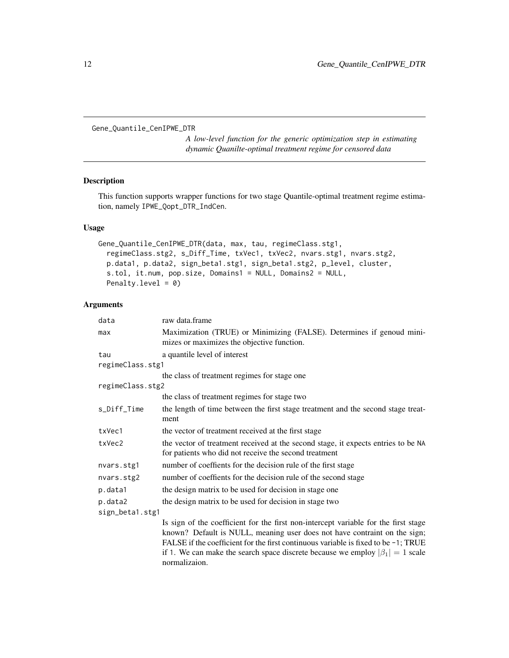```
Gene_Quantile_CenIPWE_DTR
```
*A low-level function for the generic optimization step in estimating dynamic Quanilte-optimal treatment regime for censored data*

# Description

This function supports wrapper functions for two stage Quantile-optimal treatment regime estimation, namely IPWE\_Qopt\_DTR\_IndCen.

# Usage

```
Gene_Quantile_CenIPWE_DTR(data, max, tau, regimeClass.stg1,
  regimeClass.stg2, s_Diff_Time, txVec1, txVec2, nvars.stg1, nvars.stg2,
 p.data1, p.data2, sign_beta1.stg1, sign_beta1.stg2, p_level, cluster,
  s.tol, it.num, pop.size, Domains1 = NULL, Domains2 = NULL,
 Penalty.level = 0)
```
# Arguments

| data             | raw data.frame                                                                                                                                                                                                                                                                                                                                                    |  |
|------------------|-------------------------------------------------------------------------------------------------------------------------------------------------------------------------------------------------------------------------------------------------------------------------------------------------------------------------------------------------------------------|--|
| max              | Maximization (TRUE) or Minimizing (FALSE). Determines if genoud mini-<br>mizes or maximizes the objective function.                                                                                                                                                                                                                                               |  |
| tau              | a quantile level of interest                                                                                                                                                                                                                                                                                                                                      |  |
| regimeClass.stg1 |                                                                                                                                                                                                                                                                                                                                                                   |  |
|                  | the class of treatment regimes for stage one                                                                                                                                                                                                                                                                                                                      |  |
| regimeClass.stg2 |                                                                                                                                                                                                                                                                                                                                                                   |  |
|                  | the class of treatment regimes for stage two                                                                                                                                                                                                                                                                                                                      |  |
| s_Diff_Time      | the length of time between the first stage treatment and the second stage treat-<br>ment                                                                                                                                                                                                                                                                          |  |
| txVec1           | the vector of treatment received at the first stage.                                                                                                                                                                                                                                                                                                              |  |
| txVec2           | the vector of treatment received at the second stage, it expects entries to be NA<br>for patients who did not receive the second treatment                                                                                                                                                                                                                        |  |
| nvars.stg1       | number of coeffients for the decision rule of the first stage                                                                                                                                                                                                                                                                                                     |  |
| nvars.stg2       | number of coeffients for the decision rule of the second stage                                                                                                                                                                                                                                                                                                    |  |
| p.data1          | the design matrix to be used for decision in stage one                                                                                                                                                                                                                                                                                                            |  |
| p.data2          | the design matrix to be used for decision in stage two                                                                                                                                                                                                                                                                                                            |  |
| sign_beta1.stg1  |                                                                                                                                                                                                                                                                                                                                                                   |  |
|                  | Is sign of the coefficient for the first non-intercept variable for the first stage<br>known? Default is NULL, meaning user does not have contraint on the sign;<br>FALSE if the coefficient for the first continuous variable is fixed to be $-1$ ; TRUE<br>if 1. We can make the search space discrete because we employ $ \beta_1  = 1$ scale<br>normalizaion. |  |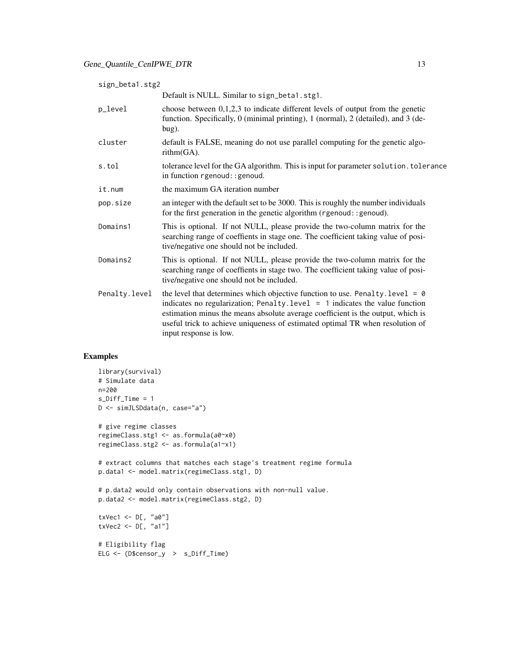| sign_beta1.stg2 |                                                                                                                                                                                                                                                                                                                                                                      |
|-----------------|----------------------------------------------------------------------------------------------------------------------------------------------------------------------------------------------------------------------------------------------------------------------------------------------------------------------------------------------------------------------|
|                 | Default is NULL. Similar to sign_beta1.stg1.                                                                                                                                                                                                                                                                                                                         |
| p_level         | choose between $0,1,2,3$ to indicate different levels of output from the genetic<br>function. Specifically, 0 (minimal printing), 1 (normal), 2 (detailed), and 3 (de-<br>bug).                                                                                                                                                                                      |
| cluster         | default is FALSE, meaning do not use parallel computing for the genetic algo-<br>rithm(GA).                                                                                                                                                                                                                                                                          |
| s.tol           | tolerance level for the GA algorithm. This is input for parameter solution. tolerance<br>in function rgenoud: : genoud.                                                                                                                                                                                                                                              |
| it.num          | the maximum GA iteration number                                                                                                                                                                                                                                                                                                                                      |
| pop.size        | an integer with the default set to be 3000. This is roughly the number individuals<br>for the first generation in the genetic algorithm (rgenoud: : genoud).                                                                                                                                                                                                         |
| Domains1        | This is optional. If not NULL, please provide the two-column matrix for the<br>searching range of coeffients in stage one. The coefficient taking value of posi-<br>tive/negative one should not be included.                                                                                                                                                        |
| Domains2        | This is optional. If not NULL, please provide the two-column matrix for the<br>searching range of coeffients in stage two. The coefficient taking value of posi-<br>tive/negative one should not be included.                                                                                                                                                        |
| Penalty.level   | the level that determines which objective function to use. Penalty. level = $\theta$<br>indicates no regularization; Penalty. level $= 1$ indicates the value function<br>estimation minus the means absolute average coefficient is the output, which is<br>useful trick to achieve uniqueness of estimated optimal TR when resolution of<br>input response is low. |

```
library(survival)
# Simulate data
n=200
s_Diff_Time = 1
D <- simJLSDdata(n, case="a")
# give regime classes
regimeClass.stg1 <- as.formula(a0~x0)
regimeClass.stg2 <- as.formula(a1~x1)
# extract columns that matches each stage's treatment regime formula
p.data1 <- model.matrix(regimeClass.stg1, D)
# p.data2 would only contain observations with non-null value.
p.data2 <- model.matrix(regimeClass.stg2, D)
txVec1 <- D[, "a0"]
txVec2 <- D[, "a1"]
# Eligibility flag
ELG <- (D$censor_y > s_Diff_Time)
```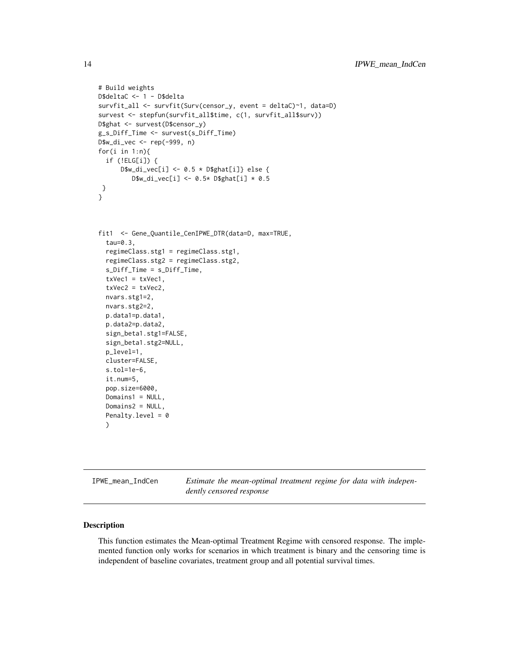```
# Build weights
D$deltaC <- 1 - D$delta
survfit_all <- survfit(Surv(censor_y, event = deltaC)~1, data=D)
survest <- stepfun(survfit_all$time, c(1, survfit_all$surv))
D$ghat <- survest(D$censor_y)
g_s_Diff_Time <- survest(s_Diff_Time)
D$w_di_vec <- rep(-999, n)
for(i in 1:n){
  if (!ELG[i]) {
      D$w_di_vec[i] <- 0.5 * D$ghat[i]} else {
         D$w_di_vec[i] <- 0.5* D$ghat[i] * 0.5
 }
}
fit1 <- Gene_Quantile_CenIPWE_DTR(data=D, max=TRUE,
  tau=0.3,
  regimeClass.stg1 = regimeClass.stg1,
  regimeClass.stg2 = regimeClass.stg2,
  s_Diff_Time = s_Diff_Time,
  txVec1 = txVec1,txVec2 = txVec2,
  nvars.stg1=2,
  nvars.stg2=2,
  p.data1=p.data1,
  p.data2=p.data2,
  sign_beta1.stg1=FALSE,
  sign_beta1.stg2=NULL,
  p_level=1,
  cluster=FALSE,
  s.tol=1e-6,
  it.num=5,
  pop.size=6000,
  Domains1 = NULL,
  Domains2 = NULL,
  Penalty.level = 0
  )
```
<span id="page-13-1"></span>IPWE\_mean\_IndCen *Estimate the mean-optimal treatment regime for data with independently censored response*

# Description

This function estimates the Mean-optimal Treatment Regime with censored response. The implemented function only works for scenarios in which treatment is binary and the censoring time is independent of baseline covariates, treatment group and all potential survival times.

<span id="page-13-0"></span>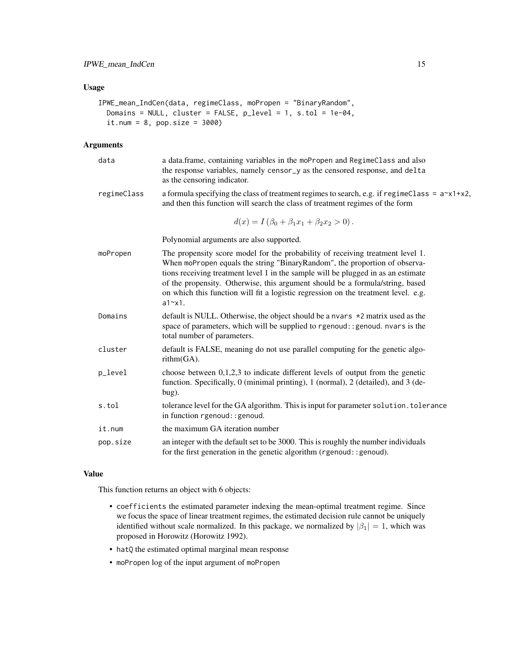# Usage

```
IPWE_mean_IndCen(data, regimeClass, moPropen = "BinaryRandom",
 Domains = NULL, cluster = FALSE, p_level = 1, s.tol = 1e-04,
  it.num = 8, pop.size = 3000)
```
# Arguments

| data        | a data.frame, containing variables in the moPropen and RegimeClass and also<br>the response variables, namely censor_y as the censored response, and delta<br>as the censoring indicator.                                                                                                                                                                                                                                                  |
|-------------|--------------------------------------------------------------------------------------------------------------------------------------------------------------------------------------------------------------------------------------------------------------------------------------------------------------------------------------------------------------------------------------------------------------------------------------------|
| regimeClass | a formula specifying the class of treatment regimes to search, e.g. if regimeClass = $a^x \times 1 + x^2$ ,<br>and then this function will search the class of treatment regimes of the form                                                                                                                                                                                                                                               |
|             | $d(x) = I(\beta_0 + \beta_1 x_1 + \beta_2 x_2 > 0).$                                                                                                                                                                                                                                                                                                                                                                                       |
|             | Polynomial arguments are also supported.                                                                                                                                                                                                                                                                                                                                                                                                   |
| moPropen    | The propensity score model for the probability of receiving treatment level 1.<br>When moPropen equals the string "BinaryRandom", the proportion of observa-<br>tions receiving treatment level 1 in the sample will be plugged in as an estimate<br>of the propensity. Otherwise, this argument should be a formula/string, based<br>on which this function will fit a logistic regression on the treatment level. e.g.<br>$a1 \sim x1$ . |
| Domains     | default is NULL. Otherwise, the object should be a nvars $\star$ 2 matrix used as the<br>space of parameters, which will be supplied to rgenoud: : genoud. nvars is the<br>total number of parameters.                                                                                                                                                                                                                                     |
| cluster     | default is FALSE, meaning do not use parallel computing for the genetic algo-<br>rithm(GA).                                                                                                                                                                                                                                                                                                                                                |
| p_level     | choose between $0,1,2,3$ to indicate different levels of output from the genetic<br>function. Specifically, 0 (minimal printing), 1 (normal), 2 (detailed), and 3 (de-<br>bug).                                                                                                                                                                                                                                                            |
| s.tol       | tolerance level for the GA algorithm. This is input for parameter solution. tolerance<br>in function rgenoud: : genoud.                                                                                                                                                                                                                                                                                                                    |
| it.num      | the maximum GA iteration number                                                                                                                                                                                                                                                                                                                                                                                                            |
| pop.size    | an integer with the default set to be 3000. This is roughly the number individuals<br>for the first generation in the genetic algorithm (rgenoud: : genoud).                                                                                                                                                                                                                                                                               |

#### Value

This function returns an object with 6 objects:

- coefficients the estimated parameter indexing the mean-optimal treatment regime. Since we focus the space of linear treatment regimes, the estimated decision rule cannot be uniquely identified without scale normalized. In this package, we normalized by  $|\beta_1| = 1$ , which was proposed in Horowitz (Horowitz 1992).
- hatQ the estimated optimal marginal mean response
- moPropen log of the input argument of moPropen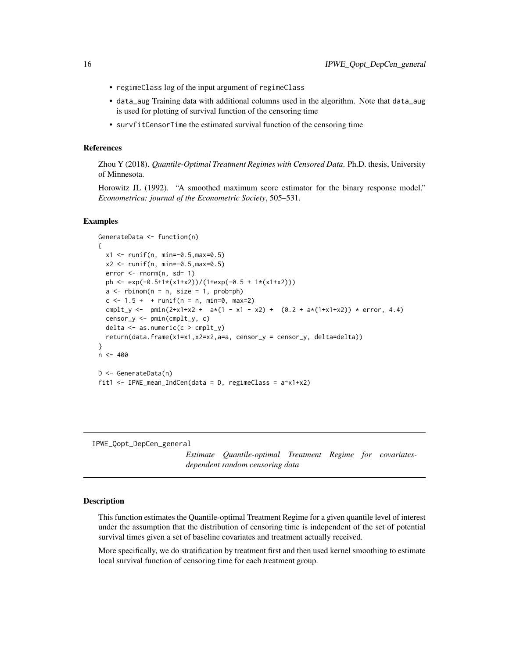- <span id="page-15-0"></span>• regimeClass log of the input argument of regimeClass
- data\_aug Training data with additional columns used in the algorithm. Note that data\_aug is used for plotting of survival function of the censoring time
- survfitCensorTime the estimated survival function of the censoring time

# References

Zhou Y (2018). *Quantile-Optimal Treatment Regimes with Censored Data*. Ph.D. thesis, University of Minnesota.

Horowitz JL (1992). "A smoothed maximum score estimator for the binary response model." *Econometrica: journal of the Econometric Society*, 505–531.

#### Examples

```
GenerateData <- function(n)
{
  x1 <- runif(n, min=-0.5,max=0.5)
  x2 <- runif(n, min=-0.5,max=0.5)
  error <- rnorm(n, sd= 1)
  ph <- exp(-0.5+1*(x1+x2))/(1+exp(-0.5 + 1*(x1+x2)))
  a \leq -rbinom(n = n, size = 1, prob=ph)c < -1.5 + + runif(n = n, min=0, max=2)cmplt_y <- pmin(2+x1+x2 + ax(1 - x1 - x2) + (0.2 + ax(1+x1+x2)) + error, 4.4)censor_y <- pmin(cmplt_y, c)
  delta <- as.numeric(c > cmplt_y)
  return(data.frame(x1=x1,x2=x2,a=a, censor_y = censor_y, delta=delta))
}
n < -400D <- GenerateData(n)
fit1 <- IPWE_mean_IndCen(data = D, regimeClass = a~x1+x2)
```
<span id="page-15-1"></span>IPWE\_Qopt\_DepCen\_general

*Estimate Quantile-optimal Treatment Regime for covariatesdependent random censoring data*

#### Description

This function estimates the Quantile-optimal Treatment Regime for a given quantile level of interest under the assumption that the distribution of censoring time is independent of the set of potential survival times given a set of baseline covariates and treatment actually received.

More specifically, we do stratification by treatment first and then used kernel smoothing to estimate local survival function of censoring time for each treatment group.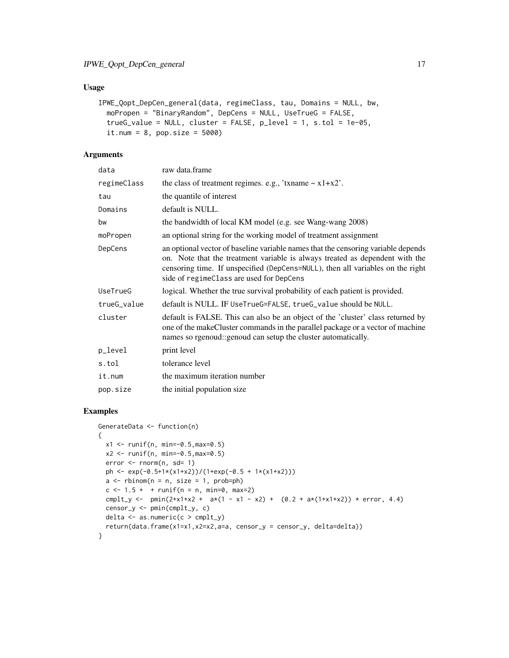# Usage

```
IPWE_Qopt_DepCen_general(data, regimeClass, tau, Domains = NULL, bw,
 moPropen = "BinaryRandom", DepCens = NULL, UseTrueG = FALSE,
  trueG_value = NULL, cluster = FALSE, p</del>level = 1, s.tol = 1e-05,it.num = 8, pop.size = 5000)
```
# Arguments

| data        | raw data.frame                                                                                                                                                                                                                                                                                  |
|-------------|-------------------------------------------------------------------------------------------------------------------------------------------------------------------------------------------------------------------------------------------------------------------------------------------------|
| regimeClass | the class of treatment regimes. e.g., 'txname $\sim x1+x2$ '.                                                                                                                                                                                                                                   |
| tau         | the quantile of interest                                                                                                                                                                                                                                                                        |
| Domains     | default is NULL.                                                                                                                                                                                                                                                                                |
| bw          | the bandwidth of local KM model (e.g. see Wang-wang 2008)                                                                                                                                                                                                                                       |
| moPropen    | an optional string for the working model of treatment assignment                                                                                                                                                                                                                                |
| DepCens     | an optional vector of baseline variable names that the censoring variable depends<br>on. Note that the treatment variable is always treated as dependent with the<br>censoring time. If unspecified (DepCens=NULL), then all variables on the right<br>side of regimeClass are used for DepCens |
| UseTrueG    | logical. Whether the true survival probability of each patient is provided.                                                                                                                                                                                                                     |
| trueG_value | default is NULL. IF UseTrueG=FALSE, trueG_value should be NULL.                                                                                                                                                                                                                                 |
| cluster     | default is FALSE. This can also be an object of the 'cluster' class returned by<br>one of the makeCluster commands in the parallel package or a vector of machine<br>names so rgenoud: genoud can setup the cluster automatically.                                                              |
| p_level     | print level                                                                                                                                                                                                                                                                                     |
| s.tol       | tolerance level                                                                                                                                                                                                                                                                                 |
| it.num      | the maximum iteration number                                                                                                                                                                                                                                                                    |
| pop.size    | the initial population size                                                                                                                                                                                                                                                                     |

```
GenerateData <- function(n)
{
  x1 <- runif(n, min=-0.5,max=0.5)
 x2 \le runif(n, min=-0.5, max=0.5)
 error < -rnorm(n, sd= 1)ph <- exp(-0.5+1*(x1+x2))/(1+exp(-0.5 + 1*(x1+x2)))
  a \leq -rbinom(n = n, size = 1, prob=ph)c \le -1.5 + + runif(n = n, min=0, max=2)cmplt_y <- pmin(2+x1+x2 + ax(1 - x1 - x2) + (0.2 + ax(1+x1+x2)) * error, 4.4)censor_y <- pmin(cmplt_y, c)
  delta \leq as.numeric(c > cmplt_y)
  return(data.frame(x1=x1,x2=x2,a=a, censor_y = censor_y, delta=delta))
}
```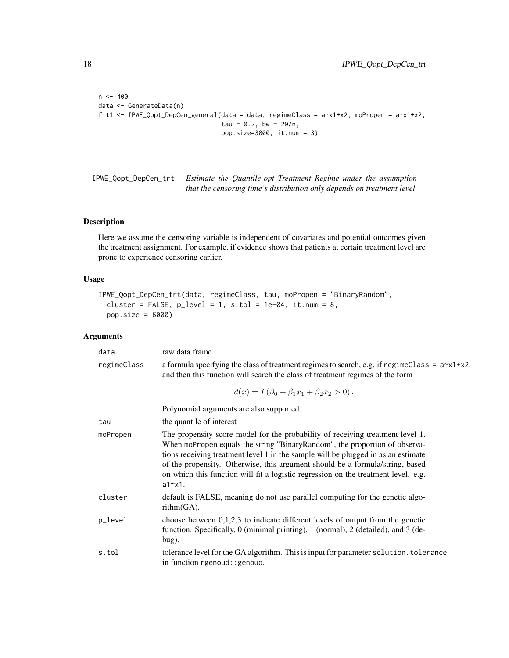```
n < -400data <- GenerateData(n)
fit1 <- IPWE_Qopt_DepCen_general(data = data, regimeClass = a~x1+x2, moPropen = a~x1+x2,
                                 tau = 0.2, bw = 20/n,
                                 pop.size=3000, it.num = 3)
```
<span id="page-17-1"></span>IPWE\_Qopt\_DepCen\_trt *Estimate the Quantile-opt Treatment Regime under the assumption that the censoring time's distribution only depends on treatment level*

#### Description

Here we assume the censoring variable is independent of covariates and potential outcomes given the treatment assignment. For example, if evidence shows that patients at certain treatment level are prone to experience censoring earlier.

# Usage

```
IPWE_Qopt_DepCen_trt(data, regimeClass, tau, moPropen = "BinaryRandom",
  cluster = FALSE, p<sup>l</sup>evel = 1, s.tol = 1e-04, it.num = 8,
 pop.size = 6000)
```
# Arguments

| data        | raw data.frame                                                                                                                                                                                                                                                                                                                                                                                                                             |
|-------------|--------------------------------------------------------------------------------------------------------------------------------------------------------------------------------------------------------------------------------------------------------------------------------------------------------------------------------------------------------------------------------------------------------------------------------------------|
| regimeClass | a formula specifying the class of treatment regimes to search, e.g. if regimeClass = $a \times 1 + x^2$ ,<br>and then this function will search the class of treatment regimes of the form                                                                                                                                                                                                                                                 |
|             | $d(x) = I(\beta_0 + \beta_1 x_1 + \beta_2 x_2 > 0).$                                                                                                                                                                                                                                                                                                                                                                                       |
|             | Polynomial arguments are also supported.                                                                                                                                                                                                                                                                                                                                                                                                   |
| tau         | the quantile of interest                                                                                                                                                                                                                                                                                                                                                                                                                   |
| moPropen    | The propensity score model for the probability of receiving treatment level 1.<br>When moPropen equals the string "BinaryRandom", the proportion of observa-<br>tions receiving treatment level 1 in the sample will be plugged in as an estimate<br>of the propensity. Otherwise, this argument should be a formula/string, based<br>on which this function will fit a logistic regression on the treatment level. e.g.<br>$a1 \sim x1$ . |
| cluster     | default is FALSE, meaning do not use parallel computing for the genetic algo-<br>$rithm(GA)$ .                                                                                                                                                                                                                                                                                                                                             |
| p_level     | choose between $0,1,2,3$ to indicate different levels of output from the genetic<br>function. Specifically, 0 (minimal printing), 1 (normal), 2 (detailed), and 3 (de-<br>$bug)$ .                                                                                                                                                                                                                                                         |
| s.tol       | tolerance level for the GA algorithm. This is input for parameter solution. tolerance<br>in function rgenoud: : genoud.                                                                                                                                                                                                                                                                                                                    |
|             |                                                                                                                                                                                                                                                                                                                                                                                                                                            |

<span id="page-17-0"></span>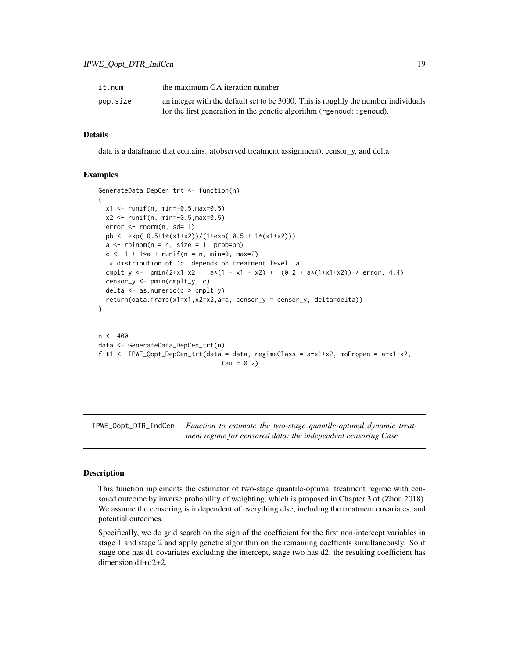<span id="page-18-0"></span>

| it.num   | the maximum GA iteration number                                                    |
|----------|------------------------------------------------------------------------------------|
| pop.size | an integer with the default set to be 3000. This is roughly the number individuals |
|          | for the first generation in the genetic algorithm ( $r$ genoud: : genoud).         |

#### Details

data is a dataframe that contains: a(observed treatment assignment), censor\_y, and delta

#### Examples

```
GenerateData_DepCen_trt <- function(n)
{
 x1 \le runif(n, min=-0.5, max=0.5)
 x2 \le runif(n, min=-0.5, max=0.5)
 error <- rnorm(n, sd= 1)
 ph <- exp(-0.5+1*(x1+x2))/(1+exp(-0.5 + 1*(x1+x2)))
 a \leq -rbinom(n = n, size = 1, prob=ph)c \le -1 + 1 \times a + \text{runif}(n = n, \text{min=0}, \text{max=2})# distribution of `c' depends on treatment level `a'
 cmplt_y <- pmin(2+x1+x2 + a*(1 - x1 - x2) + (0.2 + a*(1+x1+x2)) * error, 4.4)
 censor_y <- pmin(cmplt_y, c)
 delta \leq as.numeric(c > cmplt_y)
 return(data.frame(x1=x1,x2=x2,a=a, censor_y = censor_y, delta=delta))
}
n < -400data <- GenerateData_DepCen_trt(n)
fit1 <- IPWE_Qopt_DepCen_trt(data = data, regimeClass = a~x1+x2, moPropen = a~x1+x2,
                                  tau = 0.2
```
<span id="page-18-1"></span>IPWE\_Qopt\_DTR\_IndCen *Function to estimate the two-stage quantile-optimal dynamic treatment regime for censored data: the independent censoring Case*

#### Description

This function inplements the estimator of two-stage quantile-optimal treatment regime with censored outcome by inverse probability of weighting, which is proposed in Chapter 3 of (Zhou 2018). We assume the censoring is independent of everything else, including the treatment covariates, and potential outcomes.

Specifically, we do grid search on the sign of the coefficient for the first non-intercept variables in stage 1 and stage 2 and apply genetic algorithm on the remaining coeffients simultaneously. So if stage one has d1 covariates excluding the intercept, stage two has d2, the resulting coefficient has dimension d1+d2+2.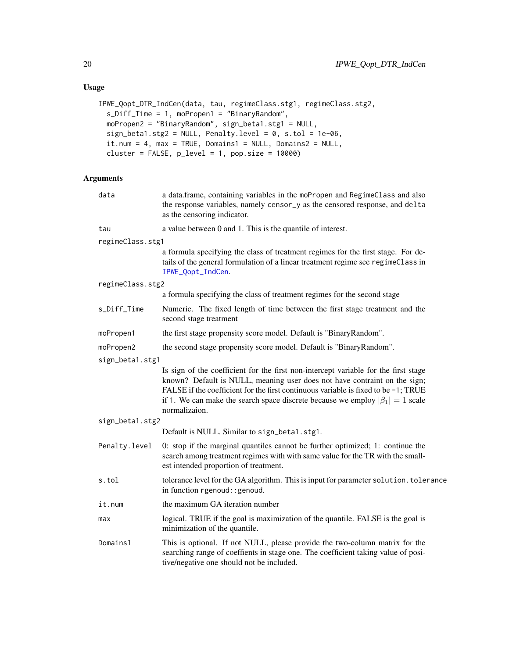# <span id="page-19-0"></span>Usage

```
IPWE_Qopt_DTR_IndCen(data, tau, regimeClass.stg1, regimeClass.stg2,
  s_Diff_Time = 1, moPropen1 = "BinaryRandom",
 moPropen2 = "BinaryRandom", sign_beta1.stg1 = NULL,
 sign_beta1.stg2 = NULL, Penalty.level = 0, s.tol = 1e-06,
  it.num = 4, max = TRUE, Domains1 = NULL, Domains2 = NULL,
  cluster = FALSE, p\_level = 1, pop.size = 10000)
```
# Arguments

| data             | a data.frame, containing variables in the moPropen and RegimeClass and also<br>the response variables, namely censor_y as the censored response, and delta<br>as the censoring indicator.                                                                                                                                                                         |
|------------------|-------------------------------------------------------------------------------------------------------------------------------------------------------------------------------------------------------------------------------------------------------------------------------------------------------------------------------------------------------------------|
| tau              | a value between 0 and 1. This is the quantile of interest.                                                                                                                                                                                                                                                                                                        |
| regimeClass.stg1 |                                                                                                                                                                                                                                                                                                                                                                   |
|                  | a formula specifying the class of treatment regimes for the first stage. For de-<br>tails of the general formulation of a linear treatment regime see regimeClass in<br>IPWE_Qopt_IndCen.                                                                                                                                                                         |
| regimeClass.stg2 |                                                                                                                                                                                                                                                                                                                                                                   |
|                  | a formula specifying the class of treatment regimes for the second stage                                                                                                                                                                                                                                                                                          |
| s_Diff_Time      | Numeric. The fixed length of time between the first stage treatment and the<br>second stage treatment                                                                                                                                                                                                                                                             |
| moPropen1        | the first stage propensity score model. Default is "BinaryRandom".                                                                                                                                                                                                                                                                                                |
| moPropen2        | the second stage propensity score model. Default is "BinaryRandom".                                                                                                                                                                                                                                                                                               |
| sign_beta1.stg1  |                                                                                                                                                                                                                                                                                                                                                                   |
|                  | Is sign of the coefficient for the first non-intercept variable for the first stage<br>known? Default is NULL, meaning user does not have contraint on the sign;<br>FALSE if the coefficient for the first continuous variable is fixed to be $-1$ ; TRUE<br>if 1. We can make the search space discrete because we employ $ \beta_1  = 1$ scale<br>normalizaion. |
| sign_beta1.stg2  |                                                                                                                                                                                                                                                                                                                                                                   |
|                  | Default is NULL. Similar to sign_beta1.stg1.                                                                                                                                                                                                                                                                                                                      |
| Penalty.level    | 0: stop if the marginal quantiles cannot be further optimized; 1: continue the<br>search among treatment regimes with with same value for the TR with the small-<br>est intended proportion of treatment.                                                                                                                                                         |
| s.tol            | tolerance level for the GA algorithm. This is input for parameter solution. tolerance<br>in function rgenoud: : genoud.                                                                                                                                                                                                                                           |
| it.num           | the maximum GA iteration number                                                                                                                                                                                                                                                                                                                                   |
| max              | logical. TRUE if the goal is maximization of the quantile. FALSE is the goal is<br>minimization of the quantile.                                                                                                                                                                                                                                                  |
| Domains1         | This is optional. If not NULL, please provide the two-column matrix for the<br>searching range of coeffients in stage one. The coefficient taking value of posi-<br>tive/negative one should not be included.                                                                                                                                                     |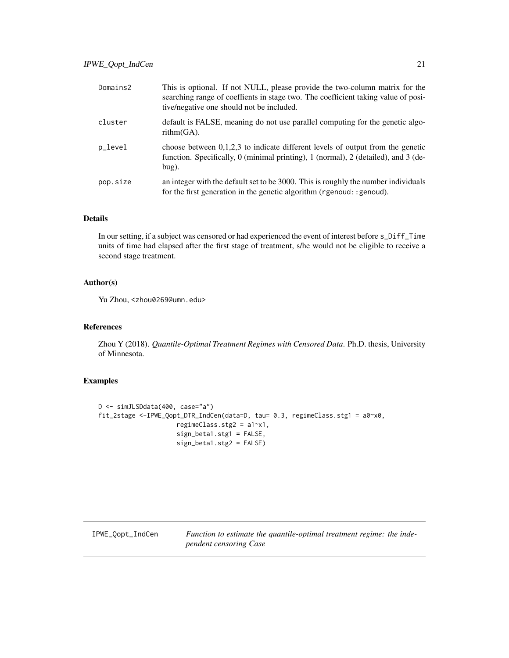<span id="page-20-0"></span>

| Domains2 | This is optional. If not NULL, please provide the two-column matrix for the<br>searching range of coeffients in stage two. The coefficient taking value of posi-<br>tive/negative one should not be included. |
|----------|---------------------------------------------------------------------------------------------------------------------------------------------------------------------------------------------------------------|
| cluster  | default is FALSE, meaning do not use parallel computing for the genetic algo-<br>$rithm(GA)$ .                                                                                                                |
| p_level  | choose between $0,1,2,3$ to indicate different levels of output from the genetic<br>function. Specifically, 0 (minimal printing), 1 (normal), 2 (detailed), and 3 (de-<br>$bug)$ .                            |
| pop.size | an integer with the default set to be 3000. This is roughly the number individuals<br>for the first generation in the genetic algorithm (rgenoud: : genoud).                                                  |

# Details

In our setting, if a subject was censored or had experienced the event of interest before s\_Diff\_Time units of time had elapsed after the first stage of treatment, s/he would not be eligible to receive a second stage treatment.

# Author(s)

Yu Zhou, <zhou0269@umn.edu>

#### References

Zhou Y (2018). *Quantile-Optimal Treatment Regimes with Censored Data*. Ph.D. thesis, University of Minnesota.

# Examples

```
D <- simJLSDdata(400, case="a")
fit_2stage <-IPWE_Qopt_DTR_IndCen(data=D, tau= 0.3, regimeClass.stg1 = a0~x0,
                     regimeClass.stg2 = a1~x1,
                     sign_beta1.stg1 = FALSE,
                     sign_beta1.stg2 = FALSE)
```
<span id="page-20-1"></span>IPWE\_Qopt\_IndCen *Function to estimate the quantile-optimal treatment regime: the independent censoring Case*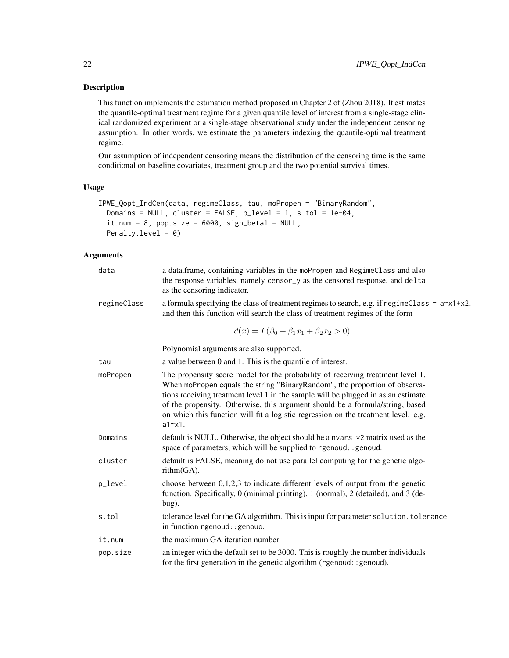# Description

This function implements the estimation method proposed in Chapter 2 of (Zhou 2018). It estimates the quantile-optimal treatment regime for a given quantile level of interest from a single-stage clinical randomized experiment or a single-stage observational study under the independent censoring assumption. In other words, we estimate the parameters indexing the quantile-optimal treatment regime.

Our assumption of independent censoring means the distribution of the censoring time is the same conditional on baseline covariates, treatment group and the two potential survival times.

# Usage

```
IPWE_Qopt_IndCen(data, regimeClass, tau, moPropen = "BinaryRandom",
 Domains = NULL, cluster = FALSE, p<sup>l</sup>evel = 1, s.tol = 1e-04,
  it.num = 8, pop.size = 6000, sign_beta1 = NULL,
  Penalty.level = 0)
```
# Arguments

| data        | a data.frame, containing variables in the moPropen and RegimeClass and also<br>the response variables, namely censor_y as the censored response, and delta<br>as the censoring indicator.                                                                                                                                                                                                                                                  |
|-------------|--------------------------------------------------------------------------------------------------------------------------------------------------------------------------------------------------------------------------------------------------------------------------------------------------------------------------------------------------------------------------------------------------------------------------------------------|
| regimeClass | a formula specifying the class of treatment regimes to search, e.g. if regime Class = $a^x \times 1 + x^2$ ,<br>and then this function will search the class of treatment regimes of the form                                                                                                                                                                                                                                              |
|             | $d(x) = I(\beta_0 + \beta_1 x_1 + \beta_2 x_2 > 0).$                                                                                                                                                                                                                                                                                                                                                                                       |
|             | Polynomial arguments are also supported.                                                                                                                                                                                                                                                                                                                                                                                                   |
| tau         | a value between 0 and 1. This is the quantile of interest.                                                                                                                                                                                                                                                                                                                                                                                 |
| moPropen    | The propensity score model for the probability of receiving treatment level 1.<br>When moPropen equals the string "BinaryRandom", the proportion of observa-<br>tions receiving treatment level 1 in the sample will be plugged in as an estimate<br>of the propensity. Otherwise, this argument should be a formula/string, based<br>on which this function will fit a logistic regression on the treatment level. e.g.<br>$a1 \sim x1$ . |
| Domains     | default is NULL. Otherwise, the object should be a nvars $\star$ 2 matrix used as the<br>space of parameters, which will be supplied to rgenoud: : genoud.                                                                                                                                                                                                                                                                                 |
| cluster     | default is FALSE, meaning do not use parallel computing for the genetic algo-<br>$rithm(GA)$ .                                                                                                                                                                                                                                                                                                                                             |
| p_level     | choose between $0,1,2,3$ to indicate different levels of output from the genetic<br>function. Specifically, 0 (minimal printing), 1 (normal), 2 (detailed), and 3 (de-<br>bug).                                                                                                                                                                                                                                                            |
| s.tol       | tolerance level for the GA algorithm. This is input for parameter solution. tolerance<br>in function rgenoud: : genoud.                                                                                                                                                                                                                                                                                                                    |
| it.num      | the maximum GA iteration number                                                                                                                                                                                                                                                                                                                                                                                                            |
| pop.size    | an integer with the default set to be 3000. This is roughly the number individuals<br>for the first generation in the genetic algorithm (rgenoud:: genoud).                                                                                                                                                                                                                                                                                |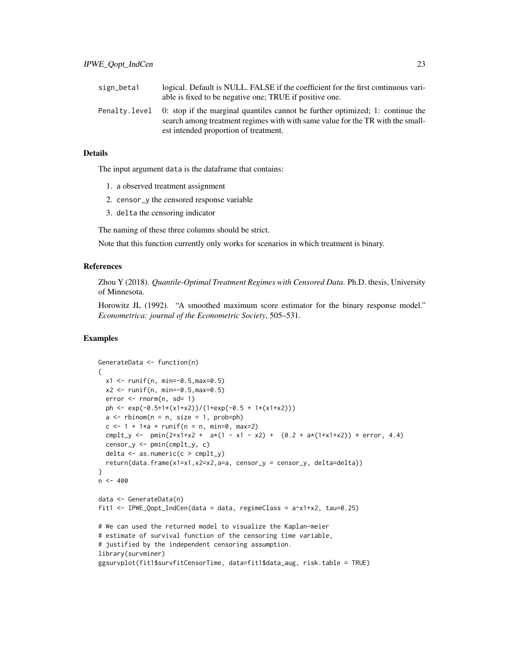| sign_beta1 | logical. Default is NULL. FALSE if the coefficient for the first continuous vari-<br>able is fixed to be negative one; TRUE if positive one.                                                                            |
|------------|-------------------------------------------------------------------------------------------------------------------------------------------------------------------------------------------------------------------------|
|            | Penalty level 0: stop if the marginal quantiles cannot be further optimized; 1: continue the<br>search among treatment regimes with with same value for the TR with the small-<br>est intended proportion of treatment. |

# Details

The input argument data is the dataframe that contains:

- 1. a observed treatment assignment
- 2. censor\_y the censored response variable
- 3. delta the censoring indicator

The naming of these three columns should be strict.

Note that this function currently only works for scenarios in which treatment is binary.

#### References

Zhou Y (2018). *Quantile-Optimal Treatment Regimes with Censored Data*. Ph.D. thesis, University of Minnesota.

Horowitz JL (1992). "A smoothed maximum score estimator for the binary response model." *Econometrica: journal of the Econometric Society*, 505–531.

```
GenerateData <- function(n)
{
  x1 <- runif(n, min=-0.5,max=0.5)
  x2 \le runif(n, min=-0.5, max=0.5)
  error < -rnorm(n, sd= 1)ph <- exp(-0.5+1*(x1+x2))/(1+exp(-0.5 + 1*(x1+x2)))
  a \leq -rbinom(n = n, size = 1, prob=ph)c < -1 + 1*a + runif(n = n, min=0, max=2)cmplt_y <- pmin(2+x1+x2 + ax(1 - x1 - x2) + (0.2 + ax(1+x1+x2)) + error, 4.4)censor_y <- pmin(cmplt_y, c)
  delta \leq as.numeric(c > cmplt_y)
  return(data.frame(x1=x1,x2=x2,a=a, censor_y = censor_y, delta=delta))
}
n <- 400
data <- GenerateData(n)
fit1 <- IPWE_Qopt_IndCen(data = data, regimeClass = a-x1+x2, tau=0.25)
# We can used the returned model to visualize the Kaplan-meier
# estimate of survival function of the censoring time variable,
# justified by the independent censoring assumption.
library(survminer)
ggsurvplot(fit1$survfitCensorTime, data=fit1$data_aug, risk.table = TRUE)
```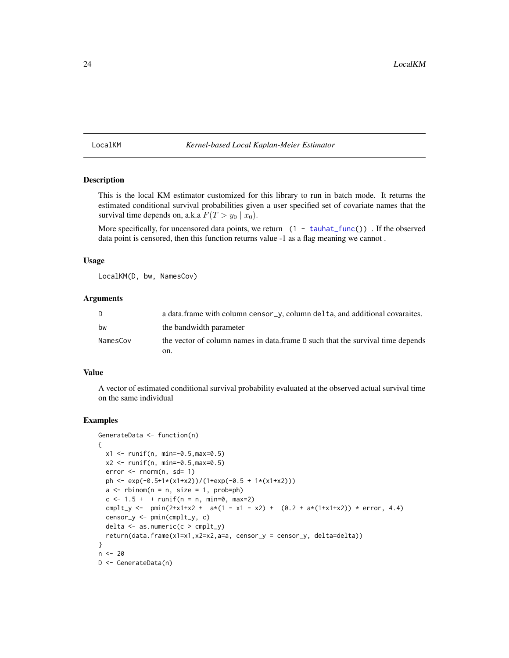# <span id="page-23-1"></span><span id="page-23-0"></span>LocalKM *Kernel-based Local Kaplan-Meier Estimator*

# Description

This is the local KM estimator customized for this library to run in batch mode. It returns the estimated conditional survival probabilities given a user specified set of covariate names that the survival time depends on, a.k.a  $F(T > y_0 \mid x_0)$ .

More specifically, for uncensored data points, we return (1 - [tauhat\\_func\(](#page-25-1))). If the observed data point is censored, then this function returns value -1 as a flag meaning we cannot .

# Usage

LocalKM(D, bw, NamesCov)

# **Arguments**

| D        | a data.frame with column censor_y, column delta, and additional covaraites.    |
|----------|--------------------------------------------------------------------------------|
| bw       | the bandwidth parameter                                                        |
| NamesCov | the vector of column names in data.frame D such that the survival time depends |
|          | on.                                                                            |

# Value

A vector of estimated conditional survival probability evaluated at the observed actual survival time on the same individual

```
GenerateData <- function(n)
{
  x1 \le runif(n, min=-0.5, max=0.5)
  x2 \le runif(n, min=-0.5, max=0.5)
  error < -rnorm(n, sd= 1)ph <- exp(-0.5+1*(x1+x2))/(1+exp(-0.5 + 1*(x1+x2)))
  a \leq r \operatorname{binom}(n = n, \text{ size } = 1, \text{ prob=ph})c \le -1.5 + + runif(n = n, min=0, max=2)cmplt_y <- pmin(2+x1+x2 + ax(1 - x1 - x2) + (0.2 + ax(1+x1+x2)) + error, 4.4)censor_y <- pmin(cmplt_y, c)
  delta \leq as.numeric(c > cmplt_y)
  return(data.frame(x1=x1,x2=x2,a=a, censor_y = censor_y, delta=delta))
}
n < - 20D <- GenerateData(n)
```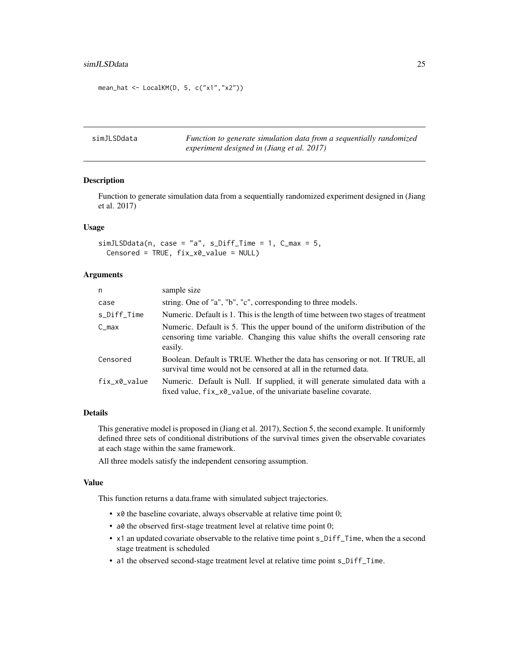#### <span id="page-24-0"></span>simJLSDdata 25

```
mean_hat <- LocalKM(D, 5, c("x1","x2"))
```
simJLSDdata *Function to generate simulation data from a sequentially randomized experiment designed in (Jiang et al. 2017)*

# Description

Function to generate simulation data from a sequentially randomized experiment designed in (Jiang et al. 2017)

#### Usage

```
simJLSDdata(n, case = "a", s_Diff_time = 1, C_max = 5,Censored = TRUE, fix_x0_value = NULL)
```
# Arguments

| n            | sample size                                                                                                                                                                 |
|--------------|-----------------------------------------------------------------------------------------------------------------------------------------------------------------------------|
| case         | string. One of "a", "b", "c", corresponding to three models.                                                                                                                |
| s_Diff_Time  | Numeric. Default is 1. This is the length of time between two stages of treatment                                                                                           |
| $C_{max}$    | Numeric. Default is 5. This the upper bound of the uniform distribution of the<br>censoring time variable. Changing this value shifts the overall censoring rate<br>easily. |
| Censored     | Boolean. Default is TRUE. Whether the data has censoring or not. If TRUE, all<br>survival time would not be censored at all in the returned data.                           |
| fix_x0_value | Numeric. Default is Null. If supplied, it will generate simulated data with a<br>fixed value, fix_x0_value, of the univariate baseline covarate.                            |

# Details

This generative model is proposed in (Jiang et al. 2017), Section 5, the second example. It uniformly defined three sets of conditional distributions of the survival times given the observable covariates at each stage within the same framework.

All three models satisfy the independent censoring assumption.

#### Value

This function returns a data.frame with simulated subject trajectories.

- x0 the baseline covariate, always observable at relative time point 0;
- a0 the observed first-stage treatment level at relative time point 0;
- x1 an updated covariate observable to the relative time point s\_Diff\_Time, when the a second stage treatment is scheduled
- a1 the observed second-stage treatment level at relative time point s\_Diff\_Time.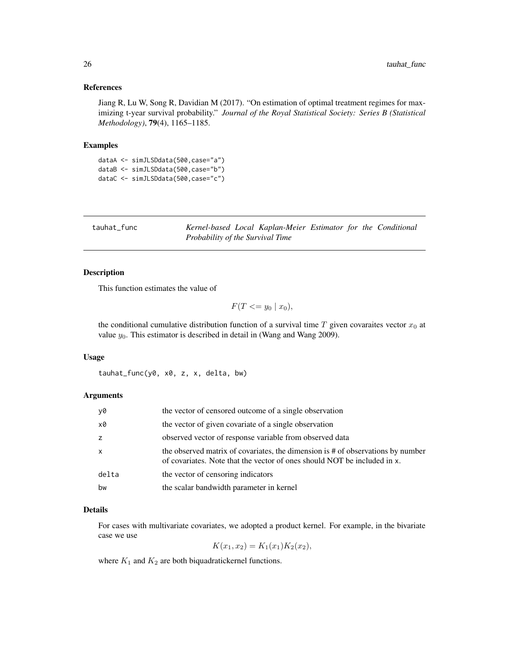#### <span id="page-25-0"></span>References

Jiang R, Lu W, Song R, Davidian M (2017). "On estimation of optimal treatment regimes for maximizing t-year survival probability." *Journal of the Royal Statistical Society: Series B (Statistical Methodology)*, 79(4), 1165–1185.

#### Examples

dataA <- simJLSDdata(500,case="a") dataB <- simJLSDdata(500,case="b") dataC <- simJLSDdata(500,case="c")

<span id="page-25-1"></span>tauhat\_func *Kernel-based Local Kaplan-Meier Estimator for the Conditional Probability of the Survival Time*

# Description

This function estimates the value of

 $F(T \leq y_0 | x_0),$ 

the conditional cumulative distribution function of a survival time T given covaraites vector  $x_0$  at value  $y_0$ . This estimator is described in detail in (Wang and Wang 2009).

#### Usage

tauhat\_func(y0, x0, z, x, delta, bw)

# Arguments

| y0    | the vector of censored outcome of a single observation                                                                                                      |
|-------|-------------------------------------------------------------------------------------------------------------------------------------------------------------|
| x0    | the vector of given covariate of a single observation                                                                                                       |
| z     | observed vector of response variable from observed data                                                                                                     |
| x     | the observed matrix of covariates, the dimension is # of observations by number<br>of covariates. Note that the vector of ones should NOT be included in x. |
| delta | the vector of censoring indicators                                                                                                                          |
| bw    | the scalar bandwidth parameter in kernel                                                                                                                    |

# Details

For cases with multivariate covariates, we adopted a product kernel. For example, in the bivariate case we use

 $K(x_1, x_2) = K_1(x_1)K_2(x_2),$ 

where  $K_1$  and  $K_2$  are both biquadratickernel functions.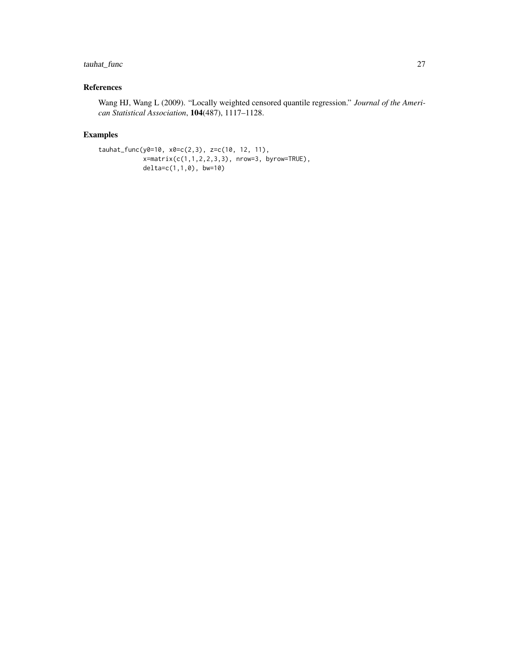# tauhat\_func 27

# References

Wang HJ, Wang L (2009). "Locally weighted censored quantile regression." *Journal of the American Statistical Association*, 104(487), 1117–1128.

```
tauhat_func(y0=10, x0=c(2,3), z=c(10, 12, 11),
            x=matrix(c(1,1,2,2,3,3), nrow=3, byrow=TRUE),
            delta=c(1,1,0), bw=10)
```